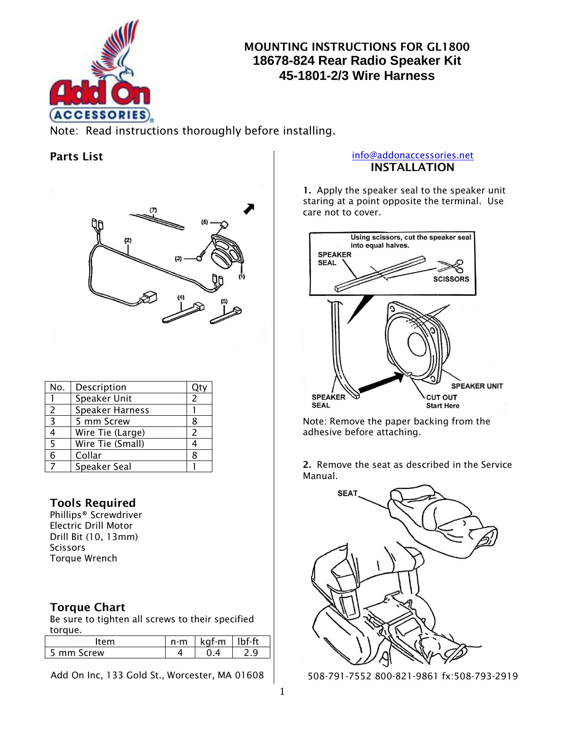

# **MOUNTING INSTRUCTIONS FOR GL1800 18678-824 Rear Radio Speaker Kit 45-1801-2/3 Wire Harness**

 Note: Read instructions thoroughly before installing.

## **Parts List**



| No. | Description            |   |
|-----|------------------------|---|
|     | Speaker Unit           | 2 |
| 2   | <b>Speaker Harness</b> |   |
| 3   | 5 mm Screw             | 8 |
| 4   | Wire Tie (Large)       | 2 |
| 5   | Wire Tie (Small)       |   |
| 6   | Collar                 | 8 |
|     | Speaker Seal           |   |

## **Tools Required**

Phillips® Screwdriver Electric Drill Motor Drill Bit (10, 13mm) **Scissors** Torque Wrench

## **Torque Chart**

Be sure to tighten all screws to their specified torque.

|                  | n-m | kat-m | f ft |
|------------------|-----|-------|------|
| Screw<br>־mm כ · |     |       |      |

Add On Inc, 133 Gold St., Worcester, MA 01608

### [info@addonaccessories.net](mailto:info@addonaccessories.net) **INSTALLATION**

**1.** Apply the speaker seal to the speaker unit staring at a point opposite the terminal. Use care not to cover.



Note: Remove the paper backing from the adhesive before attaching.

**2.** Remove the seat as described in the Service Manual.



508-791-7552 800-821-9861 fx:508-793-2919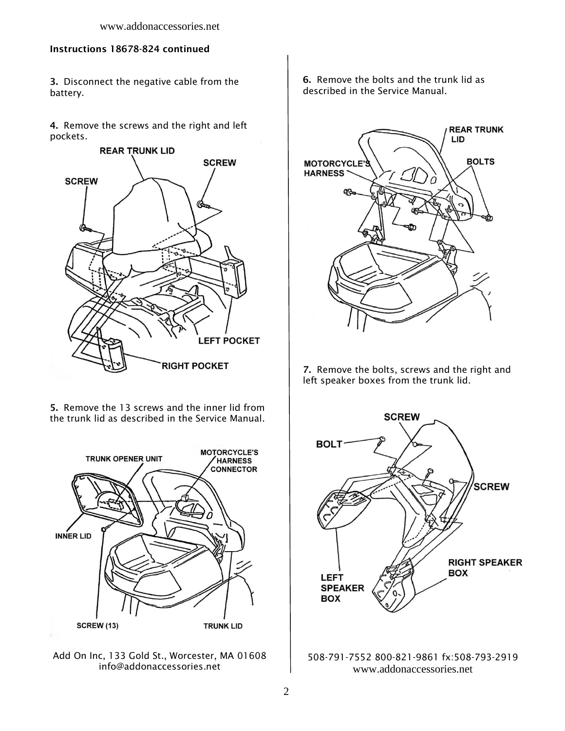### **Instructions 18678-824 continued**

**3.** Disconnect the negative cable from the battery.

**4.** Remove the screws and the right and left pockets.



**5.** Remove the 13 screws and the inner lid from the trunk lid as described in the Service Manual.



Add On Inc, 133 Gold St., Worcester, MA 01608 info@addonaccessories.net

**6.** Remove the bolts and the trunk lid as described in the Service Manual.



**7.** Remove the bolts, screws and the right and left speaker boxes from the trunk lid.



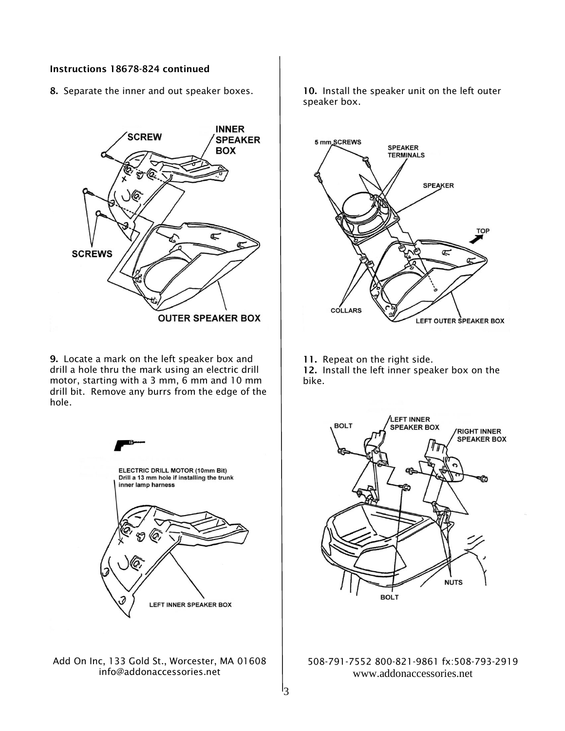### **Instructions 18678-824 continued**

**8.** Separate the inner and out speaker boxes.



**9.** Locate a mark on the left speaker box and drill a hole thru the mark using an electric drill motor, starting with a 3 mm, 6 mm and 10 mm drill bit. Remove any burrs from the edge of the hole.



Add On Inc, 133 Gold St., Worcester, MA 01608 info@addonaccessories.net

**10.** Install the speaker unit on the left outer speaker box.



**11.** Repeat on the right side.

**12.** Install the left inner speaker box on the bike.



508-791-7552 800-821-9861 fx:508-793-2919 www.addonaccessories.net